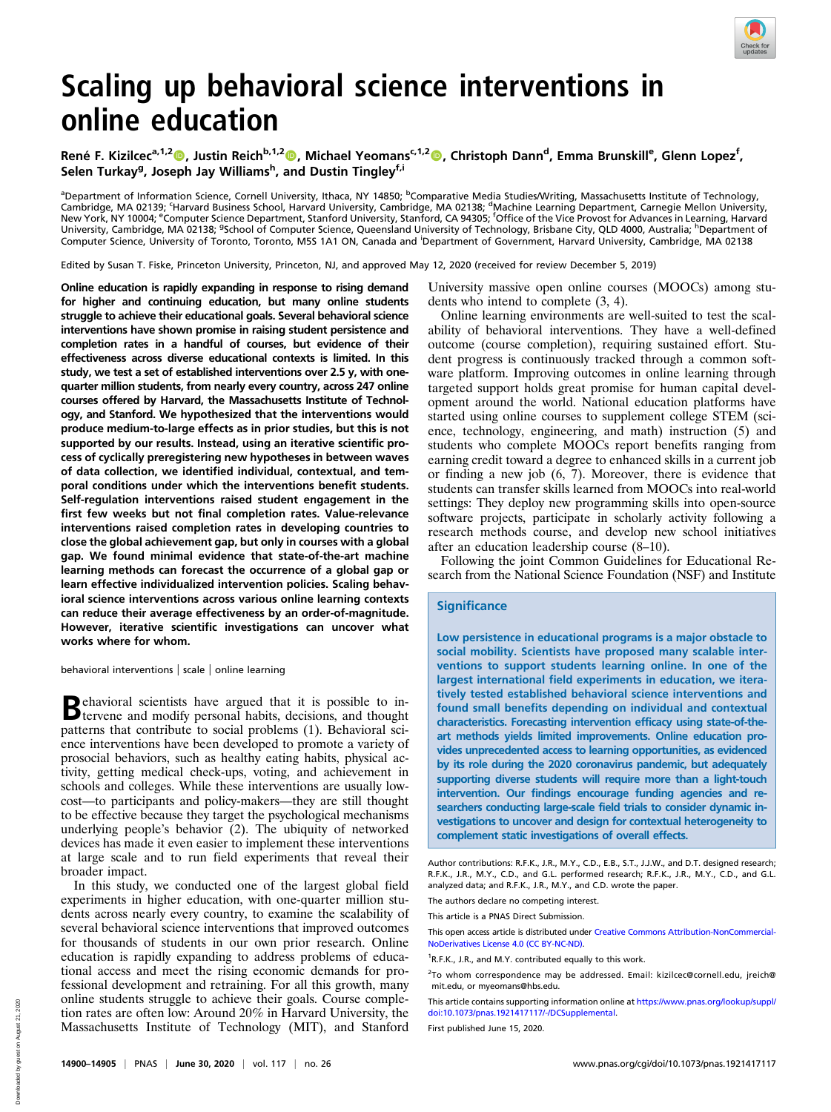

# Scaling up behavioral science interventions in online education

René F. Kizilcec<sup>a,1,2</sup>®, Justin Reich<sup>b,1,2</sup>®, Michael Yeomans<sup>c,1,2</sup>®, Christoph Dann<sup>d</sup>, Emma Brunskill<sup>e</sup>, Glenn Lopez<sup>f</sup>, Selen Turkay<sup>g</sup>, Joseph Jay Williams<sup>h</sup>, and Dustin Tingley<sup>f,i</sup>

<sup>a</sup>Department of Information Science, Cornell University, Ithaca, NY 14850; <sup>b</sup>Comparative Media Studies/Writing, Massachusetts Institute of Technology, Cambridge, MA 02139; 'Harvard Business School, Harvard University, Cambridge, MA 02138; <sup>d</sup>Machine Learning Department, Carnegie Mellon University,<br>New York, NY 10004; <sup>e</sup>Computer Science Department, Stanford University, S University, Cambridge, MA 02138; <sup>g</sup>School of Computer Science, Queensland University of Technology, Brisbane City, QLD 4000, Australia; <sup>h</sup>Department of Computer Science, University of Toronto, Toronto, M5S 1A1 ON, Canada and Department of Government, Harvard University, Cambridge, MA 02138

Edited by Susan T. Fiske, Princeton University, Princeton, NJ, and approved May 12, 2020 (received for review December 5, 2019)

Online education is rapidly expanding in response to rising demand for higher and continuing education, but many online students struggle to achieve their educational goals. Several behavioral science interventions have shown promise in raising student persistence and completion rates in a handful of courses, but evidence of their effectiveness across diverse educational contexts is limited. In this study, we test a set of established interventions over 2.5 y, with onequarter million students, from nearly every country, across 247 online courses offered by Harvard, the Massachusetts Institute of Technology, and Stanford. We hypothesized that the interventions would produce medium-to-large effects as in prior studies, but this is not supported by our results. Instead, using an iterative scientific process of cyclically preregistering new hypotheses in between waves of data collection, we identified individual, contextual, and temporal conditions under which the interventions benefit students. Self-regulation interventions raised student engagement in the first few weeks but not final completion rates. Value-relevance interventions raised completion rates in developing countries to close the global achievement gap, but only in courses with a global gap. We found minimal evidence that state-of-the-art machine learning methods can forecast the occurrence of a global gap or learn effective individualized intervention policies. Scaling behavioral science interventions across various online learning contexts can reduce their average effectiveness by an order-of-magnitude. However, iterative scientific investigations can uncover what works where for whom.

behavioral interventions | scale | online learning

Behavioral scientists have argued that it is possible to in-tervene and modify personal habits, decisions, and thought patterns that contribute to social problems (1). Behavioral science interventions have been developed to promote a variety of prosocial behaviors, such as healthy eating habits, physical activity, getting medical check-ups, voting, and achievement in schools and colleges. While these interventions are usually lowcost—to participants and policy-makers—they are still thought to be effective because they target the psychological mechanisms underlying people's behavior (2). The ubiquity of networked devices has made it even easier to implement these interventions at large scale and to run field experiments that reveal their broader impact.

In this study, we conducted one of the largest global field experiments in higher education, with one-quarter million students across nearly every country, to examine the scalability of several behavioral science interventions that improved outcomes for thousands of students in our own prior research. Online education is rapidly expanding to address problems of educational access and meet the rising economic demands for professional development and retraining. For all this growth, many online students struggle to achieve their goals. Course completion rates are often low: Around 20% in Harvard University, the Massachusetts Institute of Technology (MIT), and Stanford

University massive open online courses (MOOCs) among students who intend to complete (3, 4).

Online learning environments are well-suited to test the scalability of behavioral interventions. They have a well-defined outcome (course completion), requiring sustained effort. Student progress is continuously tracked through a common software platform. Improving outcomes in online learning through targeted support holds great promise for human capital development around the world. National education platforms have started using online courses to supplement college STEM (science, technology, engineering, and math) instruction (5) and students who complete MOOCs report benefits ranging from earning credit toward a degree to enhanced skills in a current job or finding a new job (6, 7). Moreover, there is evidence that students can transfer skills learned from MOOCs into real-world settings: They deploy new programming skills into open-source software projects, participate in scholarly activity following a research methods course, and develop new school initiatives after an education leadership course (8–10).

Following the joint Common Guidelines for Educational Research from the National Science Foundation (NSF) and Institute

# **Significance**

Low persistence in educational programs is a major obstacle to social mobility. Scientists have proposed many scalable interventions to support students learning online. In one of the largest international field experiments in education, we iteratively tested established behavioral science interventions and found small benefits depending on individual and contextual characteristics. Forecasting intervention efficacy using state-of-theart methods yields limited improvements. Online education provides unprecedented access to learning opportunities, as evidenced by its role during the 2020 coronavirus pandemic, but adequately supporting diverse students will require more than a light-touch intervention. Our findings encourage funding agencies and researchers conducting large-scale field trials to consider dynamic investigations to uncover and design for contextual heterogeneity to complement static investigations of overall effects.

This article contains supporting information online at [https://www.pnas.org/lookup/suppl/](https://www.pnas.org/lookup/suppl/doi:10.1073/pnas.1921417117/-/DCSupplemental) [doi:10.1073/pnas.1921417117/-/DCSupplemental](https://www.pnas.org/lookup/suppl/doi:10.1073/pnas.1921417117/-/DCSupplemental).

First published June 15, 2020.

Author contributions: R.F.K., J.R., M.Y., C.D., E.B., S.T., J.J.W., and D.T. designed research; R.F.K., J.R., M.Y., C.D., and G.L. performed research; R.F.K., J.R., M.Y., C.D., and G.L. analyzed data; and R.F.K., J.R., M.Y., and C.D. wrote the paper.

The authors declare no competing interest.

This article is a PNAS Direct Submission.

This open access article is distributed under [Creative Commons Attribution-NonCommercial-](https://creativecommons.org/licenses/by-nc-nd/4.0/)[NoDerivatives License 4.0 \(CC BY-NC-ND\)](https://creativecommons.org/licenses/by-nc-nd/4.0/).

<sup>&</sup>lt;sup>1</sup>R.F.K., J.R., and M.Y. contributed equally to this work.

<sup>&</sup>lt;sup>2</sup>To whom correspondence may be addressed. Email: [kizilcec@cornell.edu](mailto:kizilcec@cornell.edu), [jreich@](mailto:jreich@mit.edu) [mit.edu](mailto:jreich@mit.edu), or [myeomans@hbs.edu.](mailto:myeomans@hbs.edu)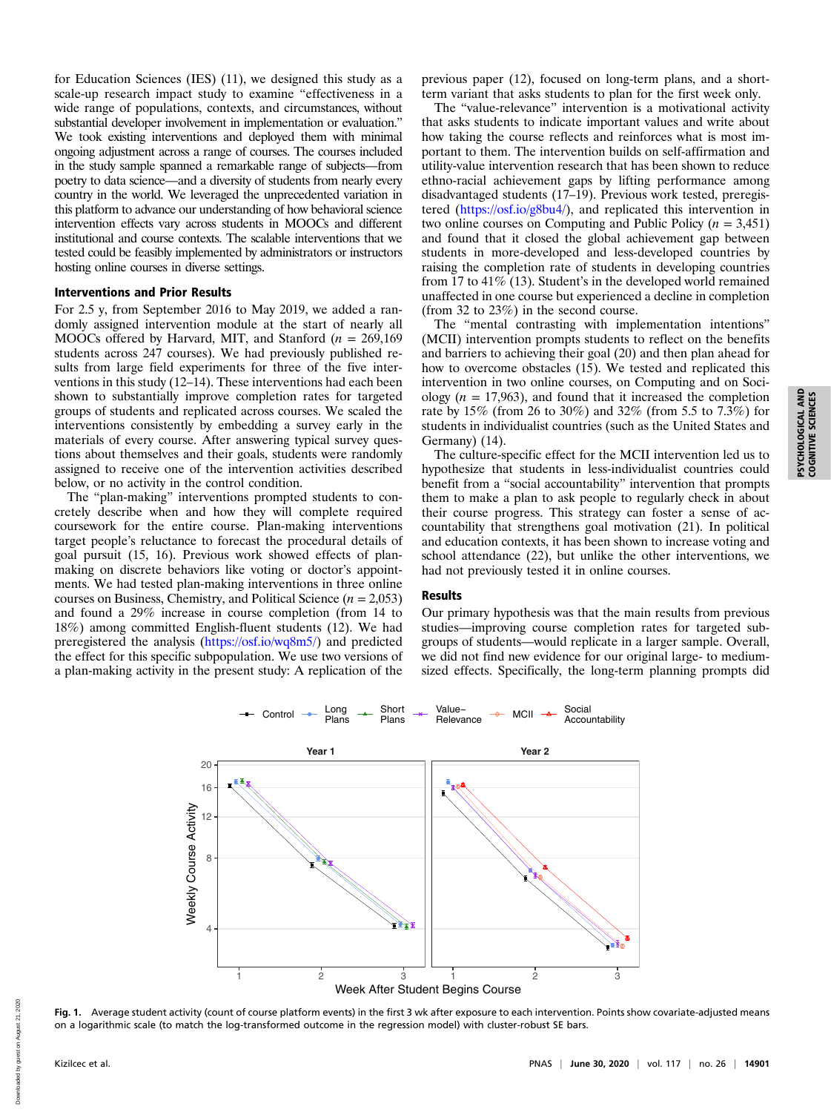for Education Sciences (IES) (11), we designed this study as a scale-up research impact study to examine "effectiveness in a wide range of populations, contexts, and circumstances, without substantial developer involvement in implementation or evaluation." We took existing interventions and deployed them with minimal ongoing adjustment across a range of courses. The courses included in the study sample spanned a remarkable range of subjects—from poetry to data science—and a diversity of students from nearly every country in the world. We leveraged the unprecedented variation in this platform to advance our understanding of how behavioral science intervention effects vary across students in MOOCs and different institutional and course contexts. The scalable interventions that we tested could be feasibly implemented by administrators or instructors hosting online courses in diverse settings.

## Interventions and Prior Results

For 2.5 y, from September 2016 to May 2019, we added a randomly assigned intervention module at the start of nearly all MOOCs offered by Harvard, MIT, and Stanford ( $n = 269,169$ ) students across 247 courses). We had previously published results from large field experiments for three of the five interventions in this study (12–14). These interventions had each been shown to substantially improve completion rates for targeted groups of students and replicated across courses. We scaled the interventions consistently by embedding a survey early in the materials of every course. After answering typical survey questions about themselves and their goals, students were randomly assigned to receive one of the intervention activities described below, or no activity in the control condition.

The "plan-making" interventions prompted students to concretely describe when and how they will complete required coursework for the entire course. Plan-making interventions target people's reluctance to forecast the procedural details of goal pursuit (15, 16). Previous work showed effects of planmaking on discrete behaviors like voting or doctor's appointments. We had tested plan-making interventions in three online courses on Business, Chemistry, and Political Science  $(n = 2,053)$ and found a 29% increase in course completion (from 14 to 18%) among committed English-fluent students (12). We had preregistered the analysis [\(https://osf.io/wq8m5/\)](https://osf.io/wq8m5/) and predicted the effect for this specific subpopulation. We use two versions of a plan-making activity in the present study: A replication of the

previous paper (12), focused on long-term plans, and a shortterm variant that asks students to plan for the first week only.

The "value-relevance" intervention is a motivational activity that asks students to indicate important values and write about how taking the course reflects and reinforces what is most important to them. The intervention builds on self-affirmation and utility-value intervention research that has been shown to reduce ethno-racial achievement gaps by lifting performance among disadvantaged students (17–19). Previous work tested, preregistered (<https://osf.io/g8bu4/>), and replicated this intervention in two online courses on Computing and Public Policy ( $n = 3,451$ ) and found that it closed the global achievement gap between students in more-developed and less-developed countries by raising the completion rate of students in developing countries from 17 to 41% (13). Student's in the developed world remained unaffected in one course but experienced a decline in completion (from 32 to 23%) in the second course.

The "mental contrasting with implementation intentions" (MCII) intervention prompts students to reflect on the benefits and barriers to achieving their goal (20) and then plan ahead for how to overcome obstacles (15). We tested and replicated this intervention in two online courses, on Computing and on Sociology ( $n = 17,963$ ), and found that it increased the completion rate by 15% (from 26 to 30%) and 32% (from 5.5 to 7.3%) for students in individualist countries (such as the United States and Germany) (14).

The culture-specific effect for the MCII intervention led us to hypothesize that students in less-individualist countries could benefit from a "social accountability" intervention that prompts them to make a plan to ask people to regularly check in about their course progress. This strategy can foster a sense of accountability that strengthens goal motivation (21). In political and education contexts, it has been shown to increase voting and school attendance (22), but unlike the other interventions, we had not previously tested it in online courses.

#### Results

Our primary hypothesis was that the main results from previous studies—improving course completion rates for targeted subgroups of students—would replicate in a larger sample. Overall, we did not find new evidence for our original large- to mediumsized effects. Specifically, the long-term planning prompts did



Fig. 1. Average student activity (count of course platform events) in the first 3 wk after exposure to each intervention. Points show covariate-adjusted means on a logarithmic scale (to match the log-transformed outcome in the regression model) with cluster-robust SE bars.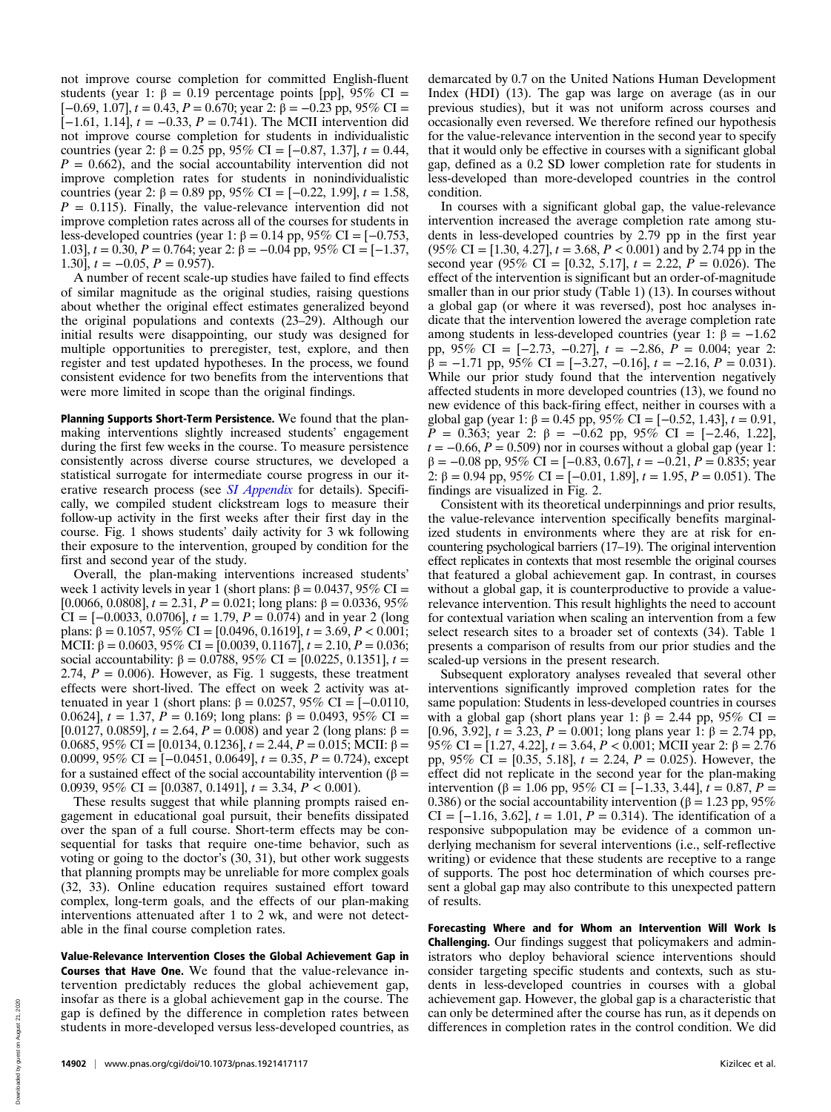not improve course completion for committed English-fluent students (year 1:  $\beta = 0.19$  percentage points [pp], 95% CI =  $[-0.69, 1.07]$ ,  $t = 0.43$ ,  $P = 0.670$ ; year 2:  $\hat{\beta} = -0.23$  pp, 95% CI = [ $-1.61$ , 1.14],  $t = -0.33$ ,  $P = 0.741$ ). The MCII intervention did not improve course completion for students in individualistic countries (year 2: β = 0.25 pp, 95% CI = [-0.87, 1.37],  $t = 0.44$ ,  $P = 0.662$ , and the social accountability intervention did not improve completion rates for students in nonindividualistic countries (year 2: β = 0.89 pp, 95% CI = [-0.22, 1.99],  $t = 1.58$ ,  $P = 0.115$ . Finally, the value-relevance intervention did not improve completion rates across all of the courses for students in less-developed countries (year 1: β = 0.14 pp, 95% CI = [-0.753, 1.03],  $t = 0.30$ ,  $P = 0.764$ ; year 2:  $\beta = -0.04$  pp, 95% CI = [-1.37, 1.30],  $t = -0.05$ ,  $P = 0.957$ ).

A number of recent scale-up studies have failed to find effects of similar magnitude as the original studies, raising questions about whether the original effect estimates generalized beyond the original populations and contexts (23–29). Although our initial results were disappointing, our study was designed for multiple opportunities to preregister, test, explore, and then register and test updated hypotheses. In the process, we found consistent evidence for two benefits from the interventions that were more limited in scope than the original findings.

Planning Supports Short-Term Persistence. We found that the planmaking interventions slightly increased students' engagement during the first few weeks in the course. To measure persistence consistently across diverse course structures, we developed a statistical surrogate for intermediate course progress in our iterative research process (see *[SI Appendix](https://www.pnas.org/lookup/suppl/doi:10.1073/pnas.1921417117/-/DCSupplemental)* for details). Specifically, we compiled student clickstream logs to measure their follow-up activity in the first weeks after their first day in the course. Fig. 1 shows students' daily activity for 3 wk following their exposure to the intervention, grouped by condition for the first and second year of the study.

Overall, the plan-making interventions increased students' week 1 activity levels in year 1 (short plans:  $\beta = 0.0437$ , 95% CI = [0.0066, 0.0808],  $t = 2.31$ ,  $P = 0.021$ ; long plans:  $\beta = 0.0336$ , 95% CI =  $[-0.0033, 0.0706]$ ,  $t = 1.79$ ,  $P = 0.074$ ) and in year 2 (long plans: β = 0.1057, 95% CI = [0.0496, 0.1619],  $t = 3.69, P < 0.001$ ; MCII:  $\beta = 0.0603, 95\%$  CI = [0.0039, 0.1167],  $t = 2.10, P = 0.036$ ; social accountability:  $\beta = 0.0788$ , 95% CI = [0.0225, 0.1351],  $t =$ 2.74,  $P = 0.006$ ). However, as Fig. 1 suggests, these treatment effects were short-lived. The effect on week 2 activity was attenuated in year 1 (short plans:  $β = 0.0257, 95%$  CI = [-0.0110, 0.0624],  $t = 1.37$ ,  $P = 0.169$ ; long plans: β = 0.0493, 95% CI = [0.0127, 0.0859],  $t = 2.64$ ,  $P = 0.008$ ) and year 2 (long plans:  $\beta =$ 0.0685, 95% CI = [0.0134, 0.1236],  $t = 2.44$ ,  $P = 0.015$ ; MCII: β = 0.0099, 95% CI =  $[-0.0451, 0.0649]$ ,  $t = 0.35$ ,  $P = 0.724$ ), except for a sustained effect of the social accountability intervention (β = 0.0939, 95% CI = [0.0387, 0.1491],  $t = 3.34, P < 0.001$ .

These results suggest that while planning prompts raised engagement in educational goal pursuit, their benefits dissipated over the span of a full course. Short-term effects may be consequential for tasks that require one-time behavior, such as voting or going to the doctor's (30, 31), but other work suggests that planning prompts may be unreliable for more complex goals (32, 33). Online education requires sustained effort toward complex, long-term goals, and the effects of our plan-making interventions attenuated after 1 to 2 wk, and were not detectable in the final course completion rates.

Value-Relevance Intervention Closes the Global Achievement Gap in Courses that Have One. We found that the value-relevance intervention predictably reduces the global achievement gap, insofar as there is a global achievement gap in the course. The gap is defined by the difference in completion rates between students in more-developed versus less-developed countries, as

demarcated by 0.7 on the United Nations Human Development Index (HDI) (13). The gap was large on average (as in our previous studies), but it was not uniform across courses and occasionally even reversed. We therefore refined our hypothesis for the value-relevance intervention in the second year to specify that it would only be effective in courses with a significant global gap, defined as a 0.2 SD lower completion rate for students in less-developed than more-developed countries in the control condition.

In courses with a significant global gap, the value-relevance intervention increased the average completion rate among students in less-developed countries by 2.79 pp in the first year  $(95\% \text{ CI} = [1.30, 4.27], t = 3.68, P < 0.001)$  and by 2.74 pp in the second year (95% CI = [0.32, 5.17],  $t = 2.22$ ,  $P = 0.026$ ). The effect of the intervention is significant but an order-of-magnitude smaller than in our prior study (Table 1) (13). In courses without a global gap (or where it was reversed), post hoc analyses indicate that the intervention lowered the average completion rate among students in less-developed countries (year 1: β =  $-1.62$ ) pp,  $95\%$  CI = [-2.73, -0.27],  $t = -2.86$ ,  $\overrightarrow{P} = 0.004$ ; year 2:  $\beta = -1.71$  pp,  $95\%$  CI = [-3.27, -0.16],  $t = -2.16$ ,  $P = 0.031$ ). While our prior study found that the intervention negatively affected students in more developed countries (13), we found no new evidence of this back-firing effect, neither in courses with a global gap (year 1: β = 0.45 pp, 95% CI = [-0.52, 1.43],  $t = 0.91$ ,  $P = 0.363$ ; year 2: β = -0.62 pp, 95% CI = [-2.46, 1.22],  $t = -0.66$ ,  $P = 0.509$ ) nor in courses without a global gap (year 1:  $\beta = -0.08$  pp, 95% CI = [-0.83, 0.67],  $t = -0.21$ ,  $P = 0.835$ ; year 2:  $\beta = 0.94$  pp, 95% CI = [-0.01, 1.89],  $t = 1.95$ ,  $P = 0.051$ ). The findings are visualized in Fig. 2.

Consistent with its theoretical underpinnings and prior results, the value-relevance intervention specifically benefits marginalized students in environments where they are at risk for encountering psychological barriers (17–19). The original intervention effect replicates in contexts that most resemble the original courses that featured a global achievement gap. In contrast, in courses without a global gap, it is counterproductive to provide a valuerelevance intervention. This result highlights the need to account for contextual variation when scaling an intervention from a few select research sites to a broader set of contexts (34). Table 1 presents a comparison of results from our prior studies and the scaled-up versions in the present research.

Subsequent exploratory analyses revealed that several other interventions significantly improved completion rates for the same population: Students in less-developed countries in courses with a global gap (short plans year 1:  $\beta = 2.44$  pp, 95% CI = [0.96, 3.92],  $t = 3.23$ ,  $P = 0.001$ ; long plans year 1:  $\beta = 2.74$  pp, 95% CI = [1.27, 4.22],  $t = 3.64$ ,  $P < 0.001$ ; MCII year 2: β = 2.76 pp, 95% CI = [0.35, 5.18],  $t = 2.24$ ,  $P = 0.025$ ). However, the effect did not replicate in the second year for the plan-making intervention (β = 1.06 pp, 95% CI = [-1.33, 3.44],  $t = 0.87$ ,  $P =$ 0.386) or the social accountability intervention ( $\beta$  = 1.23 pp, 95% CI =  $[-1.16, 3.62]$ ,  $t = 1.01$ ,  $P = 0.314$ ). The identification of a responsive subpopulation may be evidence of a common underlying mechanism for several interventions (i.e., self-reflective writing) or evidence that these students are receptive to a range of supports. The post hoc determination of which courses present a global gap may also contribute to this unexpected pattern of results.

Forecasting Where and for Whom an Intervention Will Work Is Challenging. Our findings suggest that policymakers and administrators who deploy behavioral science interventions should consider targeting specific students and contexts, such as students in less-developed countries in courses with a global achievement gap. However, the global gap is a characteristic that can only be determined after the course has run, as it depends on differences in completion rates in the control condition. We did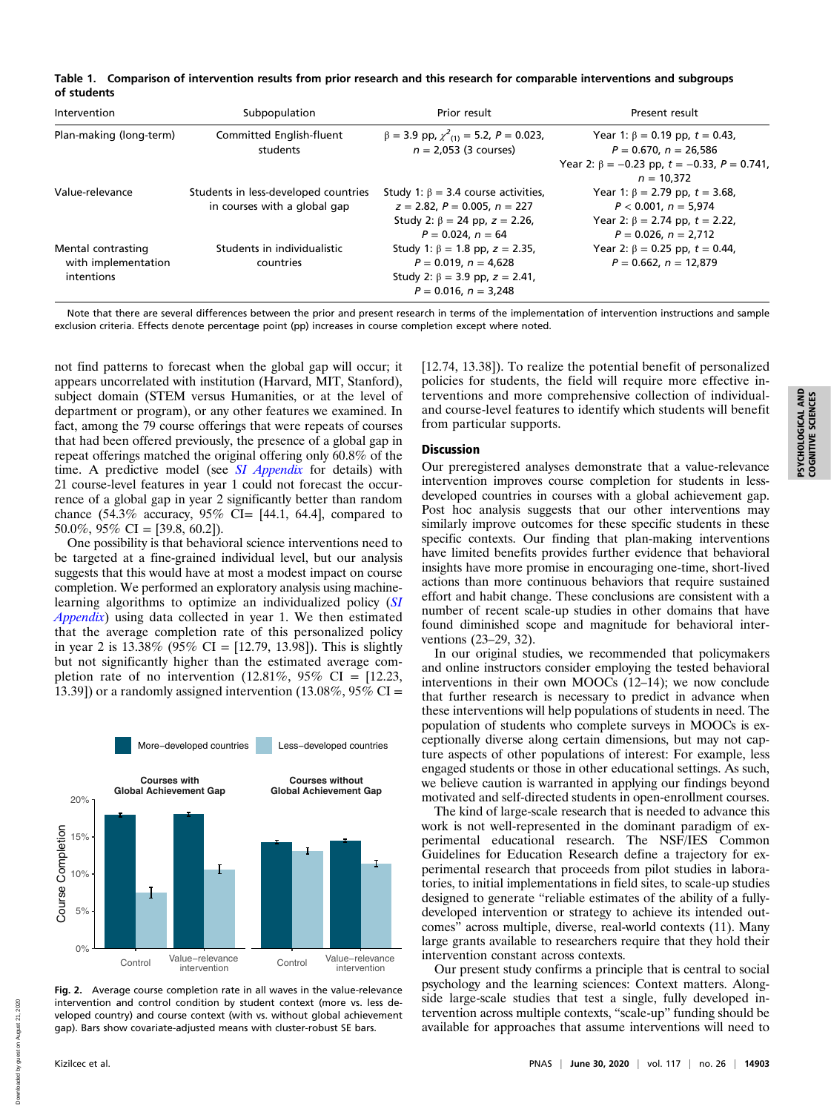|             | Table 1. Comparison of intervention results from prior research and this research for comparable interventions and subgroups |
|-------------|------------------------------------------------------------------------------------------------------------------------------|
| of students |                                                                                                                              |

| Intervention                                            | Subpopulation                                                        | Prior result                                                                                                                                          | Present result                                                                                                                                |
|---------------------------------------------------------|----------------------------------------------------------------------|-------------------------------------------------------------------------------------------------------------------------------------------------------|-----------------------------------------------------------------------------------------------------------------------------------------------|
| Plan-making (long-term)                                 | Committed English-fluent<br>students                                 | $\beta = 3.9$ pp, $\chi^2$ <sub>(1)</sub> = 5.2, P = 0.023,<br>$n = 2.053$ (3 courses)                                                                | Year 1: $\beta = 0.19$ pp, $t = 0.43$ ,<br>$P = 0.670, n = 26.586$<br>Year 2: $\beta = -0.23$ pp, $t = -0.33$ , $P = 0.741$ ,<br>$n = 10.372$ |
| Value-relevance                                         | Students in less-developed countries<br>in courses with a global gap | Study 1: $\beta = 3.4$ course activities,<br>$z = 2.82$ , $P = 0.005$ , $n = 227$<br>Study 2: $\beta = 24$ pp, $z = 2.26$ ,<br>$P = 0.024$ , $n = 64$ | Year 1: $\beta = 2.79$ pp, $t = 3.68$ ,<br>$P < 0.001$ , $n = 5.974$<br>Year 2: $\beta$ = 2.74 pp, t = 2.22,<br>$P = 0.026$ , $n = 2.712$     |
| Mental contrasting<br>with implementation<br>intentions | Students in individualistic<br>countries                             | Study 1: $\beta$ = 1.8 pp, z = 2.35,<br>$P = 0.019$ , $n = 4.628$<br>Study 2: $\beta = 3.9$ pp, $z = 2.41$ ,<br>$P = 0.016$ , $n = 3.248$             | Year 2: $\beta = 0.25$ pp, $t = 0.44$ ,<br>$P = 0.662, n = 12.879$                                                                            |

Note that there are several differences between the prior and present research in terms of the implementation of intervention instructions and sample exclusion criteria. Effects denote percentage point (pp) increases in course completion except where noted.

not find patterns to forecast when the global gap will occur; it appears uncorrelated with institution (Harvard, MIT, Stanford), subject domain (STEM versus Humanities, or at the level of department or program), or any other features we examined. In fact, among the 79 course offerings that were repeats of courses that had been offered previously, the presence of a global gap in repeat offerings matched the original offering only 60.8% of the time. A predictive model (see *[SI Appendix](https://www.pnas.org/lookup/suppl/doi:10.1073/pnas.1921417117/-/DCSupplemental)* for details) with 21 course-level features in year 1 could not forecast the occurrence of a global gap in year 2 significantly better than random chance  $(54.3\%$  accuracy,  $95\%$  CI= [44.1, 64.4], compared to 50.0%,  $95\%$  CI = [39.8, 60.2]).

One possibility is that behavioral science interventions need to be targeted at a fine-grained individual level, but our analysis suggests that this would have at most a modest impact on course completion. We performed an exploratory analysis using machine-learning algorithms to optimize an individualized policy ([SI](https://www.pnas.org/lookup/suppl/doi:10.1073/pnas.1921417117/-/DCSupplemental) [Appendix](https://www.pnas.org/lookup/suppl/doi:10.1073/pnas.1921417117/-/DCSupplemental)) using data collected in year 1. We then estimated that the average completion rate of this personalized policy in year 2 is  $13.38\%$  (95% CI = [12.79, 13.98]). This is slightly but not significantly higher than the estimated average completion rate of no intervention  $(12.81\%, 95\% \text{ CI} = [12.23,$ 13.39]) or a randomly assigned intervention (13.08%,  $95\%$  CI =



Fig. 2. Average course completion rate in all waves in the value-relevance intervention and control condition by student context (more vs. less developed country) and course context (with vs. without global achievement gap). Bars show covariate-adjusted means with cluster-robust SE bars.

[12.74, 13.38]). To realize the potential benefit of personalized policies for students, the field will require more effective interventions and more comprehensive collection of individualand course-level features to identify which students will benefit from particular supports.

## Discussion

Our preregistered analyses demonstrate that a value-relevance intervention improves course completion for students in lessdeveloped countries in courses with a global achievement gap. Post hoc analysis suggests that our other interventions may similarly improve outcomes for these specific students in these specific contexts. Our finding that plan-making interventions have limited benefits provides further evidence that behavioral insights have more promise in encouraging one-time, short-lived actions than more continuous behaviors that require sustained effort and habit change. These conclusions are consistent with a number of recent scale-up studies in other domains that have found diminished scope and magnitude for behavioral interventions (23–29, 32).

In our original studies, we recommended that policymakers and online instructors consider employing the tested behavioral interventions in their own MOOCs (12–14); we now conclude that further research is necessary to predict in advance when these interventions will help populations of students in need. The population of students who complete surveys in MOOCs is exceptionally diverse along certain dimensions, but may not capture aspects of other populations of interest: For example, less engaged students or those in other educational settings. As such, we believe caution is warranted in applying our findings beyond motivated and self-directed students in open-enrollment courses.

The kind of large-scale research that is needed to advance this work is not well-represented in the dominant paradigm of experimental educational research. The NSF/IES Common Guidelines for Education Research define a trajectory for experimental research that proceeds from pilot studies in laboratories, to initial implementations in field sites, to scale-up studies designed to generate "reliable estimates of the ability of a fullydeveloped intervention or strategy to achieve its intended outcomes" across multiple, diverse, real-world contexts (11). Many large grants available to researchers require that they hold their intervention constant across contexts.

Our present study confirms a principle that is central to social psychology and the learning sciences: Context matters. Alongside large-scale studies that test a single, fully developed intervention across multiple contexts, "scale-up" funding should be available for approaches that assume interventions will need to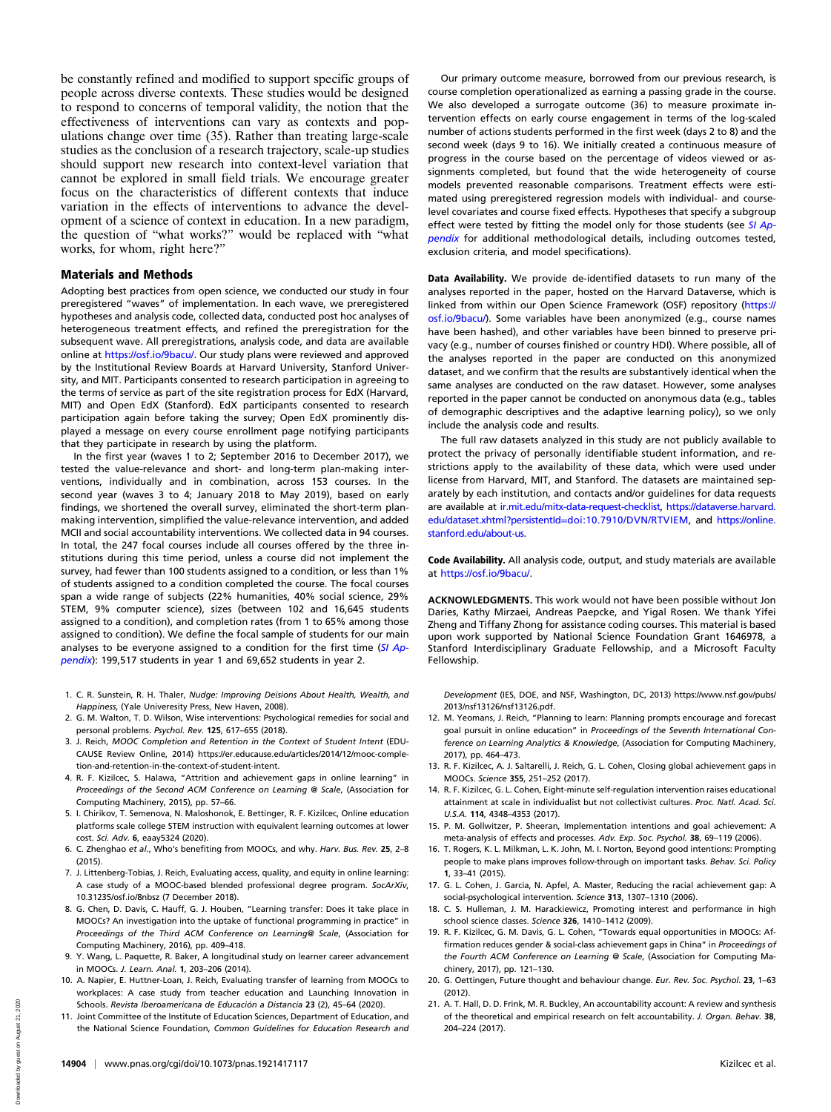be constantly refined and modified to support specific groups of people across diverse contexts. These studies would be designed to respond to concerns of temporal validity, the notion that the effectiveness of interventions can vary as contexts and populations change over time (35). Rather than treating large-scale studies as the conclusion of a research trajectory, scale-up studies should support new research into context-level variation that cannot be explored in small field trials. We encourage greater focus on the characteristics of different contexts that induce variation in the effects of interventions to advance the development of a science of context in education. In a new paradigm, the question of "what works?" would be replaced with "what works, for whom, right here?"

### Materials and Methods

Adopting best practices from open science, we conducted our study in four preregistered "waves" of implementation. In each wave, we preregistered hypotheses and analysis code, collected data, conducted post hoc analyses of heterogeneous treatment effects, and refined the preregistration for the subsequent wave. All preregistrations, analysis code, and data are available online at [https://osf.io/9bacu/.](https://osf.io/9bacu/) Our study plans were reviewed and approved by the Institutional Review Boards at Harvard University, Stanford University, and MIT. Participants consented to research participation in agreeing to the terms of service as part of the site registration process for EdX (Harvard, MIT) and Open EdX (Stanford). EdX participants consented to research participation again before taking the survey; Open EdX prominently displayed a message on every course enrollment page notifying participants that they participate in research by using the platform.

In the first year (waves 1 to 2; September 2016 to December 2017), we tested the value-relevance and short- and long-term plan-making interventions, individually and in combination, across 153 courses. In the second year (waves 3 to 4; January 2018 to May 2019), based on early findings, we shortened the overall survey, eliminated the short-term planmaking intervention, simplified the value-relevance intervention, and added MCII and social accountability interventions. We collected data in 94 courses. In total, the 247 focal courses include all courses offered by the three institutions during this time period, unless a course did not implement the survey, had fewer than 100 students assigned to a condition, or less than 1% of students assigned to a condition completed the course. The focal courses span a wide range of subjects (22% humanities, 40% social science, 29% STEM, 9% computer science), sizes (between 102 and 16,645 students assigned to a condition), and completion rates (from 1 to 65% among those assigned to condition). We define the focal sample of students for our main analyses to be everyone assigned to a condition for the first time  $(SI$  Ap[pendix](https://www.pnas.org/lookup/suppl/doi:10.1073/pnas.1921417117/-/DCSupplemental)): 199,517 students in year 1 and 69,652 students in year 2.

- 1. C. R. Sunstein, R. H. Thaler, Nudge: Improving Deisions About Health, Wealth, and Happiness, (Yale Univeresity Press, New Haven, 2008).
- 2. G. M. Walton, T. D. Wilson, Wise interventions: Psychological remedies for social and personal problems. Psychol. Rev. 125, 617–655 (2018).
- 3. J. Reich, MOOC Completion and Retention in the Context of Student Intent (EDU-CAUSE Review Online, 2014) [https://er.educause.edu/articles/2014/12/mooc-comple](https://er.educause.edu/articles/2014/12/mooc-completion-and-retention-in-the-context-of-student-intent)[tion-and-retention-in-the-context-of-student-intent](https://er.educause.edu/articles/2014/12/mooc-completion-and-retention-in-the-context-of-student-intent).
- 4. R. F. Kizilcec, S. Halawa, "Attrition and achievement gaps in online learning" in Proceedings of the Second ACM Conference on Learning @ Scale, (Association for Computing Machinery, 2015), pp. 57–66.
- 5. I. Chirikov, T. Semenova, N. Maloshonok, E. Bettinger, R. F. Kizilcec, Online education platforms scale college STEM instruction with equivalent learning outcomes at lower cost. Sci. Adv. 6, eaay5324 (2020).
- 6. C. Zhenghao et al., Who's benefiting from MOOCs, and why. Harv. Bus. Rev. 25, 2–8  $(2015)$
- 7. J. Littenberg-Tobias, J. Reich, Evaluating access, quality, and equity in online learning: A case study of a MOOC-based blended professional degree program. SocArXiv, 10.31235/osf.io/8nbsz (7 December 2018).
- 8. G. Chen, D. Davis, C. Hauff, G. J. Houben, "Learning transfer: Does it take place in MOOCs? An investigation into the uptake of functional programming in practice" in Proceedings of the Third ACM Conference on Learning@ Scale, (Association for Computing Machinery, 2016), pp. 409–418.
- 9. Y. Wang, L. Paquette, R. Baker, A longitudinal study on learner career advancement in MOOCs. J. Learn. Anal. 1, 203–206 (2014).
- 10. A. Napier, E. Huttner-Loan, J. Reich, Evaluating transfer of learning from MOOCs to workplaces: A case study from teacher education and Launching Innovation in Schools. Revista Iberoamericana de Educación a Distancia 23 (2), 45–64 (2020).
- 11. Joint Committee of the Institute of Education Sciences, Department of Education, and the National Science Foundation, Common Guidelines for Education Research and

Our primary outcome measure, borrowed from our previous research, is course completion operationalized as earning a passing grade in the course. We also developed a surrogate outcome (36) to measure proximate intervention effects on early course engagement in terms of the log-scaled number of actions students performed in the first week (days 2 to 8) and the second week (days 9 to 16). We initially created a continuous measure of progress in the course based on the percentage of videos viewed or assignments completed, but found that the wide heterogeneity of course models prevented reasonable comparisons. Treatment effects were estimated using preregistered regression models with individual- and courselevel covariates and course fixed effects. Hypotheses that specify a subgroup effect were tested by fitting the model only for those students (see [SI Ap](https://www.pnas.org/lookup/suppl/doi:10.1073/pnas.1921417117/-/DCSupplemental)[pendix](https://www.pnas.org/lookup/suppl/doi:10.1073/pnas.1921417117/-/DCSupplemental) for additional methodological details, including outcomes tested, exclusion criteria, and model specifications).

Data Availability. We provide de-identified datasets to run many of the analyses reported in the paper, hosted on the Harvard Dataverse, which is linked from within our Open Science Framework (OSF) repository [\(https://](https://osf.io/9bacu/) [osf.io/9bacu/\)](https://osf.io/9bacu/). Some variables have been anonymized (e.g., course names have been hashed), and other variables have been binned to preserve privacy (e.g., number of courses finished or country HDI). Where possible, all of the analyses reported in the paper are conducted on this anonymized dataset, and we confirm that the results are substantively identical when the same analyses are conducted on the raw dataset. However, some analyses reported in the paper cannot be conducted on anonymous data (e.g., tables of demographic descriptives and the adaptive learning policy), so we only include the analysis code and results.

The full raw datasets analyzed in this study are not publicly available to protect the privacy of personally identifiable student information, and restrictions apply to the availability of these data, which were used under license from Harvard, MIT, and Stanford. The datasets are maintained separately by each institution, and contacts and/or guidelines for data requests are available at [ir.mit.edu/mitx-data-request-checklist,](http://ir.mit.edu/mitx-data-request-checklist) [https://dataverse.harvard.](https://dataverse.harvard.edu/dataset.xhtml?persistentId=doi:10.7910/DVN/RTVIEM) [edu/dataset.xhtml?persistentId](https://dataverse.harvard.edu/dataset.xhtml?persistentId=doi:10.7910/DVN/RTVIEM)=doi:10.7910/DVN/RTVIEM, and [https://online.](https://online.stanford.edu/about-us) [stanford.edu/about-us.](https://online.stanford.edu/about-us)

Code Availability. All analysis code, output, and study materials are available at <https://osf.io/9bacu/>.

ACKNOWLEDGMENTS. This work would not have been possible without Jon Daries, Kathy Mirzaei, Andreas Paepcke, and Yigal Rosen. We thank Yifei Zheng and Tiffany Zhong for assistance coding courses. This material is based upon work supported by National Science Foundation Grant 1646978, a Stanford Interdisciplinary Graduate Fellowship, and a Microsoft Faculty Fellowship.

Development (IES, DOE, and NSF, Washington, DC, 2013) [https://www.nsf.gov/pubs/](https://www.nsf.gov/pubs/2013/nsf13126/nsf13126.pdf) [2013/nsf13126/nsf13126.pdf](https://www.nsf.gov/pubs/2013/nsf13126/nsf13126.pdf).

- 12. M. Yeomans, J. Reich, "Planning to learn: Planning prompts encourage and forecast goal pursuit in online education" in Proceedings of the Seventh International Conference on Learning Analytics & Knowledge, (Association for Computing Machinery, 2017), pp. 464–473.
- 13. R. F. Kizilcec, A. J. Saltarelli, J. Reich, G. L. Cohen, Closing global achievement gaps in MOOCs. Science 355, 251–252 (2017).
- 14. R. F. Kizilcec, G. L. Cohen, Eight-minute self-regulation intervention raises educational attainment at scale in individualist but not collectivist cultures. Proc. Natl. Acad. Sci. U.S.A. 114, 4348–4353 (2017).
- 15. P. M. Gollwitzer, P. Sheeran, Implementation intentions and goal achievement: A meta-analysis of effects and processes. Adv. Exp. Soc. Psychol. 38, 69-119 (2006).
- 16. T. Rogers, K. L. Milkman, L. K. John, M. I. Norton, Beyond good intentions: Prompting people to make plans improves follow-through on important tasks. Behav. Sci. Policy 1, 33–41 (2015).
- 17. G. L. Cohen, J. Garcia, N. Apfel, A. Master, Reducing the racial achievement gap: A social-psychological intervention. Science 313, 1307–1310 (2006).
- 18. C. S. Hulleman, J. M. Harackiewicz, Promoting interest and performance in high school science classes. Science 326, 1410–1412 (2009).
- 19. R. F. Kizilcec, G. M. Davis, G. L. Cohen, "Towards equal opportunities in MOOCs: Affirmation reduces gender & social-class achievement gaps in China" in Proceedings of the Fourth ACM Conference on Learning @ Scale, (Association for Computing Machinery, 2017), pp. 121–130.
- 20. G. Oettingen, Future thought and behaviour change. Eur. Rev. Soc. Psychol. 23, 1–63 (2012).
- 21. A. T. Hall, D. D. Frink, M. R. Buckley, An accountability account: A review and synthesis of the theoretical and empirical research on felt accountability. J. Organ. Behav. 38, 204–224 (2017).